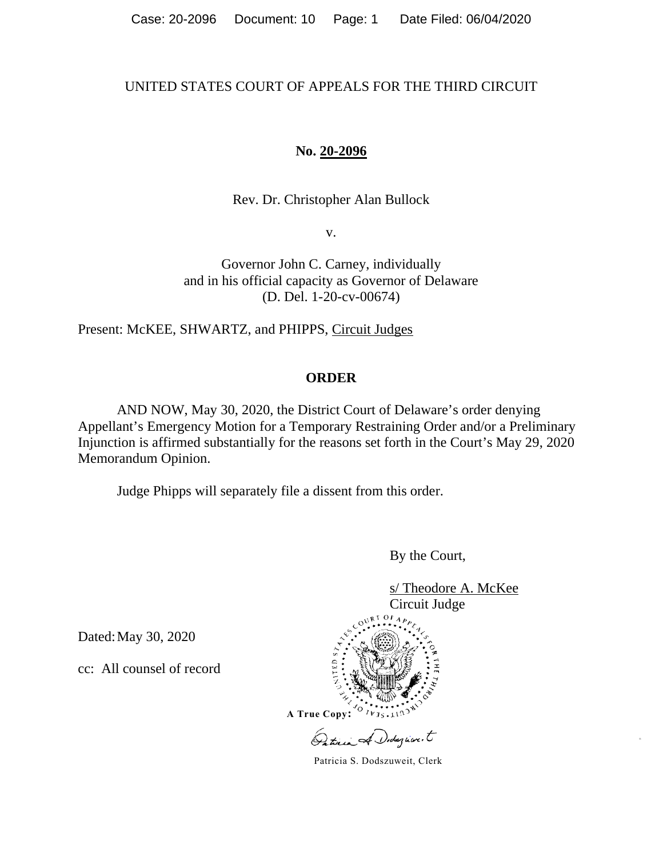# UNITED STATES COURT OF APPEALS FOR THE THIRD CIRCUIT

# **No. 20-2096**

Rev. Dr. Christopher Alan Bullock

v.

Governor John C. Carney, individually and in his official capacity as Governor of Delaware (D. Del. 1-20-cv-00674)

Present: McKEE, SHWARTZ, and PHIPPS, Circuit Judges

## **ORDER**

AND NOW, May 30, 2020, the District Court of Delaware's order denying Appellant's Emergency Motion for a Temporary Restraining Order and/or a Preliminary Injunction is affirmed substantially for the reasons set forth in the Court's May 29, 2020 Memorandum Opinion.

Judge Phipps will separately file a dissent from this order.

By the Court,

s/ Theodore A. McKee Circuit Judge

> **A True Copy:** ×.

Dated:May 30, 2020

cc: All counsel of record



**A True Copy:**

Dodazione.t

Patricia S. Dodszuweit, Clerk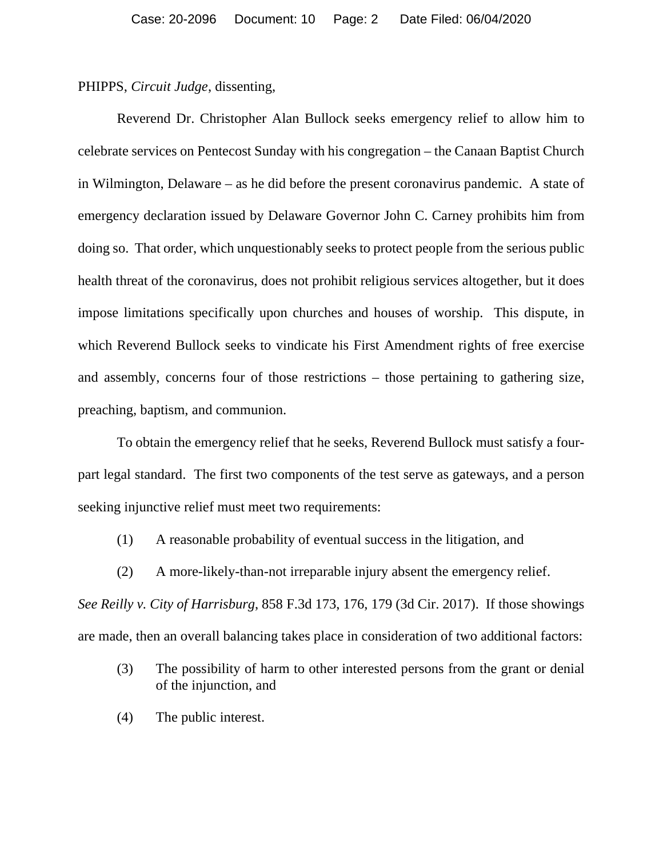PHIPPS, *Circuit Judge*, dissenting,

Reverend Dr. Christopher Alan Bullock seeks emergency relief to allow him to celebrate services on Pentecost Sunday with his congregation – the Canaan Baptist Church in Wilmington, Delaware – as he did before the present coronavirus pandemic. A state of emergency declaration issued by Delaware Governor John C. Carney prohibits him from doing so. That order, which unquestionably seeks to protect people from the serious public health threat of the coronavirus, does not prohibit religious services altogether, but it does impose limitations specifically upon churches and houses of worship. This dispute, in which Reverend Bullock seeks to vindicate his First Amendment rights of free exercise and assembly, concerns four of those restrictions – those pertaining to gathering size, preaching, baptism, and communion.

To obtain the emergency relief that he seeks, Reverend Bullock must satisfy a fourpart legal standard. The first two components of the test serve as gateways, and a person seeking injunctive relief must meet two requirements:

- (1) A reasonable probability of eventual success in the litigation, and
- (2) A more-likely-than-not irreparable injury absent the emergency relief.

*See Reilly v. City of Harrisburg*, 858 F.3d 173, 176, 179 (3d Cir. 2017). If those showings are made, then an overall balancing takes place in consideration of two additional factors:

- (3) The possibility of harm to other interested persons from the grant or denial of the injunction, and
- (4) The public interest.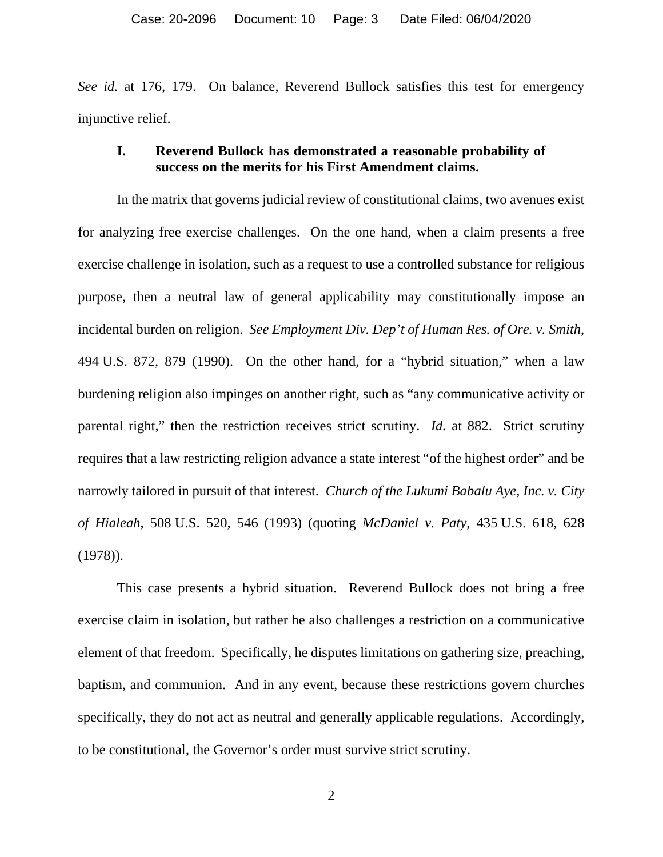*See id.* at 176, 179. On balance, Reverend Bullock satisfies this test for emergency injunctive relief.

## **I. Reverend Bullock has demonstrated a reasonable probability of success on the merits for his First Amendment claims.**

In the matrix that governs judicial review of constitutional claims, two avenues exist for analyzing free exercise challenges. On the one hand, when a claim presents a free exercise challenge in isolation, such as a request to use a controlled substance for religious purpose, then a neutral law of general applicability may constitutionally impose an incidental burden on religion. *See Employment Div. Dep't of Human Res. of Ore. v. Smith*, 494 U.S. 872, 879 (1990). On the other hand, for a "hybrid situation," when a law burdening religion also impinges on another right, such as "any communicative activity or parental right," then the restriction receives strict scrutiny. *Id.* at 882. Strict scrutiny requires that a law restricting religion advance a state interest "of the highest order" and be narrowly tailored in pursuit of that interest. *Church of the Lukumi Babalu Aye, Inc. v. City of Hialeah*, 508 U.S. 520, 546 (1993) (quoting *McDaniel v. Paty*, 435 U.S. 618, 628 (1978)).

This case presents a hybrid situation. Reverend Bullock does not bring a free exercise claim in isolation, but rather he also challenges a restriction on a communicative element of that freedom. Specifically, he disputes limitations on gathering size, preaching, baptism, and communion. And in any event, because these restrictions govern churches specifically, they do not act as neutral and generally applicable regulations. Accordingly, to be constitutional, the Governor's order must survive strict scrutiny.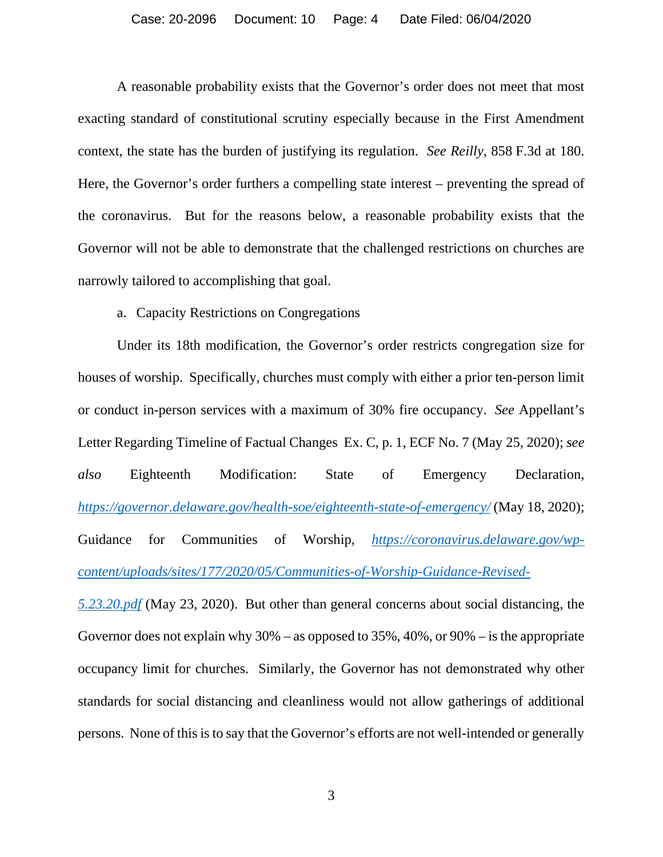A reasonable probability exists that the Governor's order does not meet that most exacting standard of constitutional scrutiny especially because in the First Amendment context, the state has the burden of justifying its regulation. *See Reilly*, 858 F.3d at 180. Here, the Governor's order furthers a compelling state interest – preventing the spread of the coronavirus. But for the reasons below, a reasonable probability exists that the Governor will not be able to demonstrate that the challenged restrictions on churches are narrowly tailored to accomplishing that goal.

a. Capacity Restrictions on Congregations

Under its 18th modification, the Governor's order restricts congregation size for houses of worship. Specifically, churches must comply with either a prior ten-person limit or conduct in-person services with a maximum of 30% fire occupancy. *See* Appellant's Letter Regarding Timeline of Factual Changes Ex. C, p. 1, ECF No. 7 (May 25, 2020); *see also* Eighteenth Modification: State of Emergency Declaration, *<https://governor.delaware.gov/health-soe/eighteenth-state-of-emergency/>* (May 18, 2020); Guidance for Communities of Worship, *[https://coronavirus.delaware.gov/wp](https://coronavirus.delaware.gov/wp-content/uploads/sites/177/2020/05/Communities-of-Worship-Guidance-Revised-5.23.20.pdf)[content/uploads/sites/177/2020/05/Communities-of-Worship-Guidance-Revised-](https://coronavirus.delaware.gov/wp-content/uploads/sites/177/2020/05/Communities-of-Worship-Guidance-Revised-5.23.20.pdf)*

*[5.23.20.pdf](https://coronavirus.delaware.gov/wp-content/uploads/sites/177/2020/05/Communities-of-Worship-Guidance-Revised-5.23.20.pdf)* (May 23, 2020). But other than general concerns about social distancing, the Governor does not explain why 30% – as opposed to 35%, 40%, or 90% – is the appropriate occupancy limit for churches. Similarly, the Governor has not demonstrated why other standards for social distancing and cleanliness would not allow gatherings of additional persons. None of this is to say that the Governor's efforts are not well-intended or generally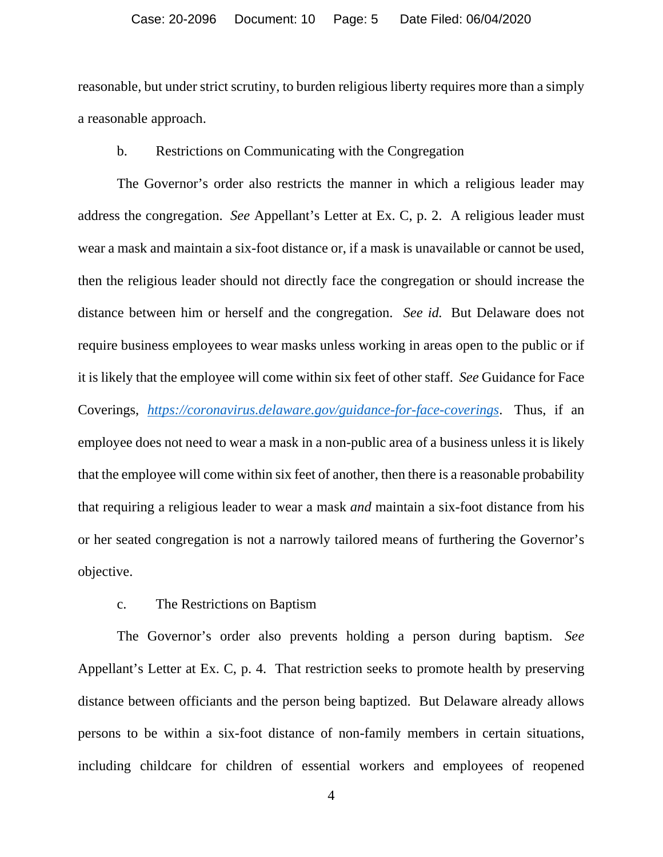reasonable, but under strict scrutiny, to burden religious liberty requires more than a simply a reasonable approach.

### b. Restrictions on Communicating with the Congregation

The Governor's order also restricts the manner in which a religious leader may address the congregation. *See* Appellant's Letter at Ex. C, p. 2. A religious leader must wear a mask and maintain a six-foot distance or, if a mask is unavailable or cannot be used, then the religious leader should not directly face the congregation or should increase the distance between him or herself and the congregation. *See id.* But Delaware does not require business employees to wear masks unless working in areas open to the public or if it is likely that the employee will come within six feet of other staff. *See* Guidance for Face Coverings, *<https://coronavirus.delaware.gov/guidance-for-face-coverings>*. Thus, if an employee does not need to wear a mask in a non-public area of a business unless it is likely that the employee will come within six feet of another, then there is a reasonable probability that requiring a religious leader to wear a mask *and* maintain a six-foot distance from his or her seated congregation is not a narrowly tailored means of furthering the Governor's objective.

### c. The Restrictions on Baptism

The Governor's order also prevents holding a person during baptism. *See*  Appellant's Letter at Ex. C, p. 4. That restriction seeks to promote health by preserving distance between officiants and the person being baptized. But Delaware already allows persons to be within a six-foot distance of non-family members in certain situations, including childcare for children of essential workers and employees of reopened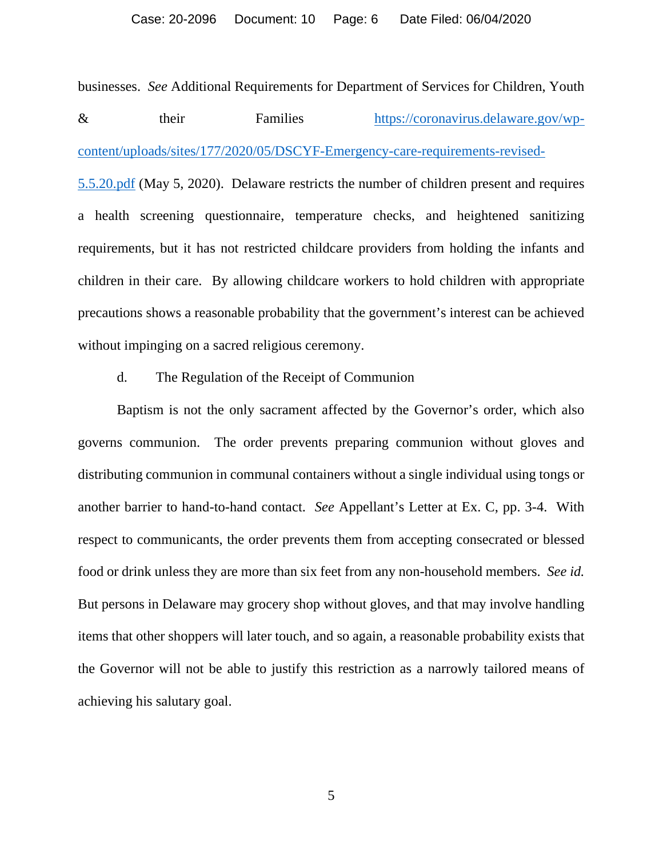businesses. *See* Additional Requirements for Department of Services for Children, Youth & their Families [https://coronavirus.delaware.gov/wp](https://coronavirus.delaware.gov/wp-content/uploads/sites/177/2020/05/DSCYF-Emergency-care-requirements-revised-5.5.20.pdf)[content/uploads/sites/177/2020/05/DSCYF-Emergency-care-requirements-revised-](https://coronavirus.delaware.gov/wp-content/uploads/sites/177/2020/05/DSCYF-Emergency-care-requirements-revised-5.5.20.pdf)[5.5.20.pdf](https://coronavirus.delaware.gov/wp-content/uploads/sites/177/2020/05/DSCYF-Emergency-care-requirements-revised-5.5.20.pdf) (May 5, 2020). Delaware restricts the number of children present and requires a health screening questionnaire, temperature checks, and heightened sanitizing requirements, but it has not restricted childcare providers from holding the infants and children in their care. By allowing childcare workers to hold children with appropriate precautions shows a reasonable probability that the government's interest can be achieved without impinging on a sacred religious ceremony.

d. The Regulation of the Receipt of Communion

Baptism is not the only sacrament affected by the Governor's order, which also governs communion. The order prevents preparing communion without gloves and distributing communion in communal containers without a single individual using tongs or another barrier to hand-to-hand contact. *See* Appellant's Letter at Ex. C, pp. 3-4. With respect to communicants, the order prevents them from accepting consecrated or blessed food or drink unless they are more than six feet from any non-household members. *See id.* But persons in Delaware may grocery shop without gloves, and that may involve handling items that other shoppers will later touch, and so again, a reasonable probability exists that the Governor will not be able to justify this restriction as a narrowly tailored means of achieving his salutary goal.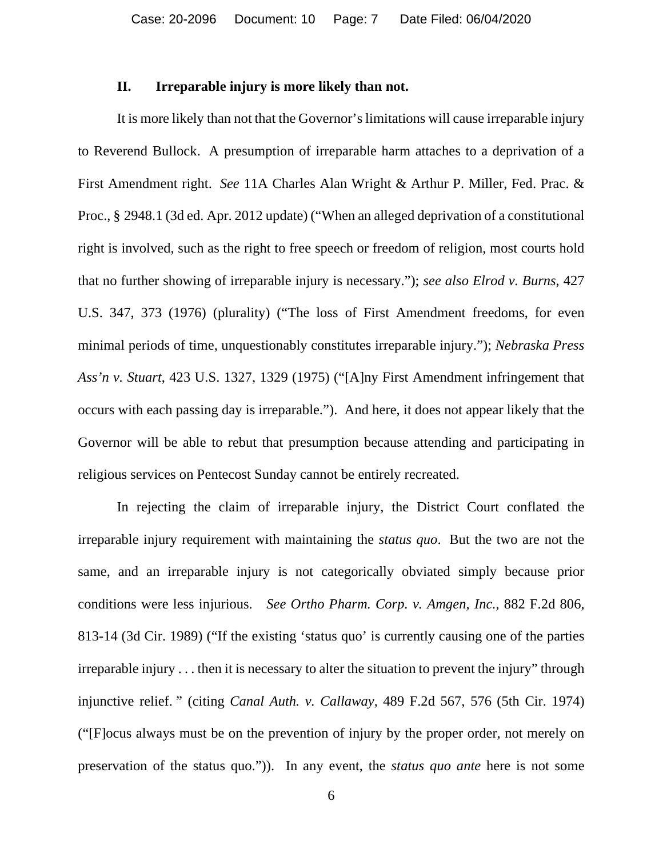### **II. Irreparable injury is more likely than not.**

It is more likely than not that the Governor's limitations will cause irreparable injury to Reverend Bullock. A presumption of irreparable harm attaches to a deprivation of a First Amendment right. *See* 11A Charles Alan Wright & Arthur P. Miller, Fed. Prac. & Proc., § 2948.1 (3d ed. Apr. 2012 update) ("When an alleged deprivation of a constitutional right is involved, such as the right to free speech or freedom of religion, most courts hold that no further showing of irreparable injury is necessary."); *see also Elrod v. Burns*, 427 U.S. 347, 373 (1976) (plurality) ("The loss of First Amendment freedoms, for even minimal periods of time, unquestionably constitutes irreparable injury."); *Nebraska Press Ass'n v. Stuart*, 423 U.S. 1327, 1329 (1975) ("[A]ny First Amendment infringement that occurs with each passing day is irreparable."). And here, it does not appear likely that the Governor will be able to rebut that presumption because attending and participating in religious services on Pentecost Sunday cannot be entirely recreated.

In rejecting the claim of irreparable injury, the District Court conflated the irreparable injury requirement with maintaining the *status quo*. But the two are not the same, and an irreparable injury is not categorically obviated simply because prior conditions were less injurious. *See Ortho Pharm. Corp. v. Amgen, Inc.*, 882 F.2d 806, 813-14 (3d Cir. 1989) ("If the existing 'status quo' is currently causing one of the parties irreparable injury . . . then it is necessary to alter the situation to prevent the injury" through injunctive relief. " (citing *Canal Auth. v. Callaway*, 489 F.2d 567, 576 (5th Cir. 1974) ("[F]ocus always must be on the prevention of injury by the proper order, not merely on preservation of the status quo.")). In any event, the *status quo ante* here is not some